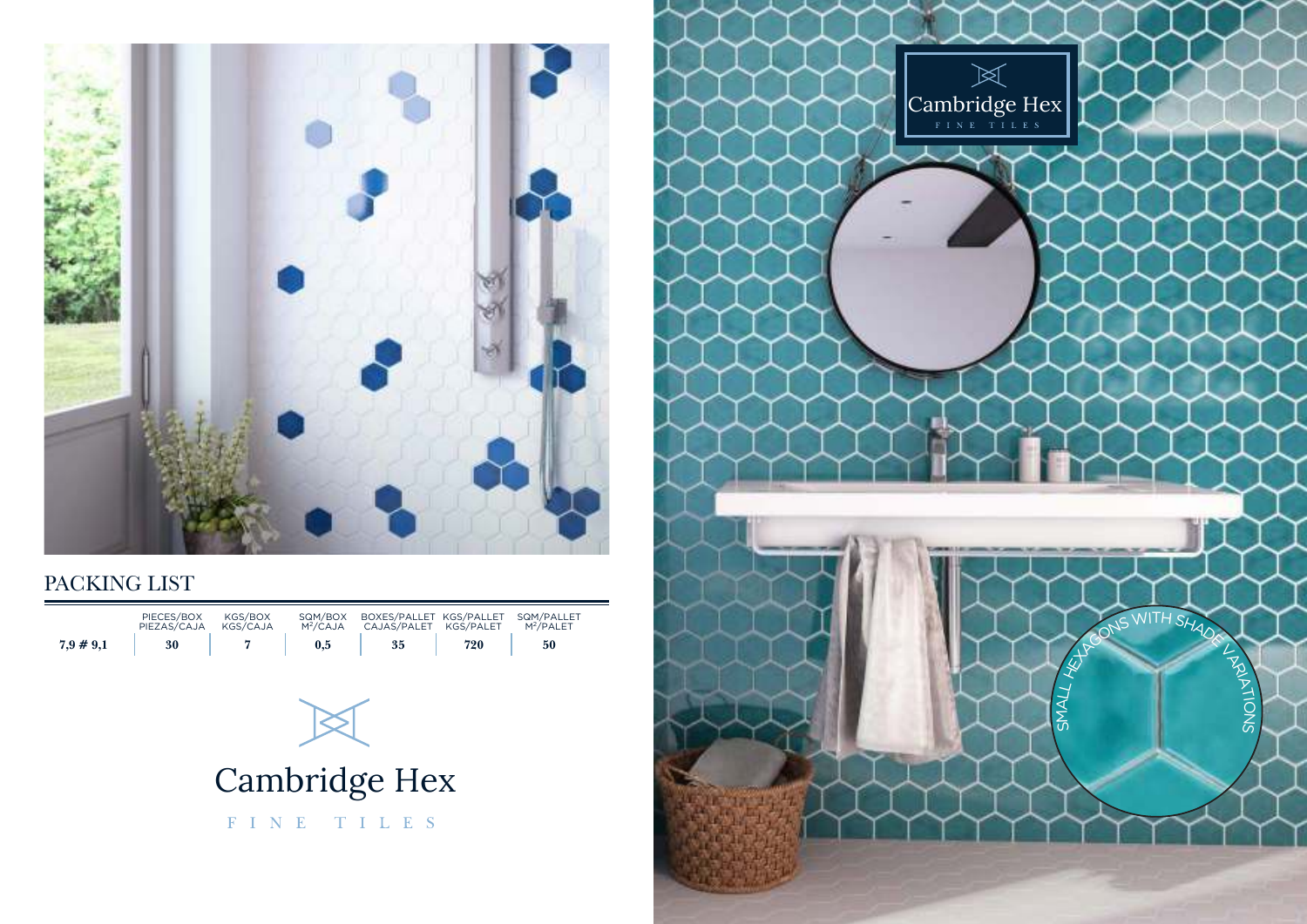

## PACKING LIST

|              | PIECES/BOX<br>PIEZAS/CAJA | KGS/BOX<br>KGS/CAJA | SQM/BOX<br>$M^2$ /CAJA | BOXES/PALLET KGS/PALLET<br>CAJAS/PALET | KGS/PALET | SQM/PALLET<br>$M^2$ /PAI FT |
|--------------|---------------------------|---------------------|------------------------|----------------------------------------|-----------|-----------------------------|
| $7.9 \# 9.1$ | 30                        |                     | $\rm 0.5$              | 35                                     | 720       | 50                          |